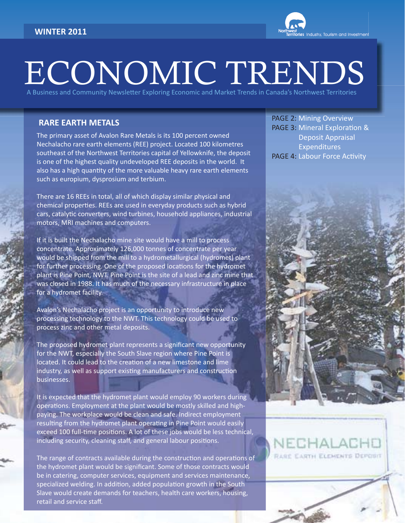

# ECONOMIC TRENDS

A Business and Community Newsletter Exploring Economic and Market Trends in Canada's Northwest Territories

## **RARE EARTH METALS**

The primary asset of Avalon Rare Metals is its 100 percent owned Nechalacho rare earth elements (REE) project. Located 100 kilometres southeast of the Northwest Territories capital of Yellowknife, the deposit is one of the highest quality undeveloped REE deposits in the world. It also has a high quantity of the more valuable heavy rare earth elements such as europium, dysprosium and terbium.

There are 16 REEs in total, all of which display similar physical and chemical properties. REEs are used in everyday products such as hybrid cars, catalytic converters, wind turbines, household appliances, industrial motors, MRI machines and computers.

If it is built the Nechalacho mine site would have a mill to process concentrate. Approximately 126,000 tonnes of concentrate per year would be shipped from the mill to a hydrometallurgical (hydromet) plant for further processing. One of the proposed locations for the hydromet plant is Pine Point, NWT. Pine Point is the site of a lead and zinc mine that was closed in 1988. It has much of the necessary infrastructure in place for a hydromet facility.

Avalon's Nechalacho project is an opportunity to introduce new processing technology to the NWT. This technology could be used to process zinc and other metal deposits.

The proposed hydromet plant represents a significant new opportunity for the NWT, especially the South Slave region where Pine Point is located. It could lead to the creation of a new limestone and lime industry, as well as support existing manufacturers and construction businesses.

It is expected that the hydromet plant would employ 90 workers during operations. Employment at the plant would be mostly skilled and highpaying. The workplace would be clean and safe. Indirect employment resulting from the hydromet plant operating in Pine Point would easily exceed 100 full-time positions. A lot of these jobs would be less technical, including security, cleaning staff, and general labour positions.

The range of contracts available during the construction and operations of the hydromet plant would be significant. Some of those contracts would be in catering, computer services, equipment and services maintenance, specialized welding. In addition, added population growth in the South Slave would create demands for teachers, health care workers, housing, retail and service staff.

PAGE 2: Mining Overview PAGE 3: Mineral Exploration & Deposit Appraisal Expenditures PAGE 4: Labour Force Activity

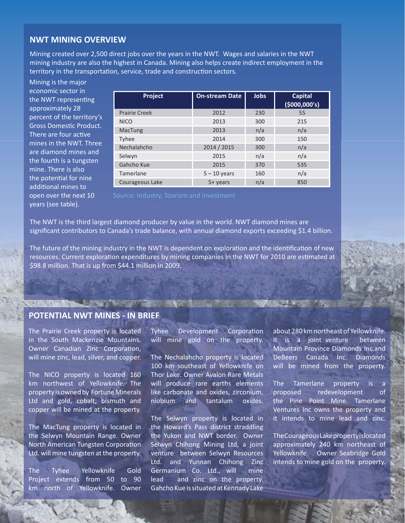### **NWT MINING OVERVIEW**

Mining created over 2,500 direct jobs over the years in the NWT. Wages and salaries in the NWT mining industry are also the highest in Canada. Mining also helps create indirect employment in the territory in the transportation, service, trade and construction sectors.

Mining is the major economic sector in the NWT representing approximately 28 percent of the territory's Gross Domestic Product. There are four active mines in the NWT. Three are diamond mines and the fourth is a tungsten mine. There is also the potential for nine additional mines to open over the next 10 years (see table).

| Project              | <b>On-stream Date</b> | Jobs | <b>Capital</b><br>(5000,000's) |
|----------------------|-----------------------|------|--------------------------------|
| <b>Prairie Creek</b> | 2012                  | 230  | 55                             |
| <b>NICO</b>          | 2013                  | 300  | 215                            |
| MacTung              | 2013                  | n/a  | n/a                            |
| <b>Tyhee</b>         | 2014                  | 300  | 150                            |
| Nechalahcho          | 2014 / 2015           | 300  | n/a                            |
| Selwyn               | 2015                  | n/a  | n/a                            |
| Gahcho Kue           | 2015                  | 370  | 535                            |
| Tamerlane            | $5 - 10$ years        | 160  | n/a                            |
| Courageous Lake      | $5+$ years            | n/a  | 850                            |

The NWT is the third largest diamond producer by value in the world. NWT diamond mines are significant contributors to Canada's trade balance, with annual diamond exports exceeding \$1.4 billion.

The future of the mining industry in the NWT is dependent on exploration and the identification of new resources. Current exploration expenditures by mining companies in the NWT for 2010 are estimated at \$98.8 million. That is up from \$44.1 million in 2009.

## **POTENTIAL NWT MINES - IN BRIEF**

the control of the property of the control of the control of the control of

The Prairie Creek property is located in the South Mackenzie Mountains. Owner Canadian Zinc Corporation, will mine zinc, lead, silver, and copper.

The NICO property is located 160 km northwest of Yellowknife. The property is owned by Fortune Minerals Ltd and gold, cobalt, bismuth and copper will be mined at the property.

The MacTung property is located in the Selwyn Mountain Range. Owner North American Tungsten Corporation Ltd. will mine tungsten at the property.

The Tyhee Yellowknife Gold Project extends from 50 to 90 km north of Yellowknife. Owner Tyhee Development Corporation will mine gold on the property.

The Nechalahcho property is located 100 km southeast of Yellowknife on Thor Lake. Owner Avalon Rare Metals will produce rare earths elements like carbonate and oxides, zirconium, niobium and tantalum oxides.

The Selwyn property is located in the Howard's Pass district straddling the Yukon and NWT border. Owner Selwyn Chihong Mining Ltd, a joint venture between Selwyn Resources Ltd. and Yunnan Chihong Zinc Germanium Co. Ltd., will mine lead and zinc on the property. Gahcho Kue is situated at Kennady Lake about 280 km northeast of Yellowknife. It is a joint venture between Mountain Province Diamonds Inc.and DeBeers Canada Inc. Diamonds will be mined from the property.

The Tamerlane property is a proposed redevelopment of the Pine Point Mine. Tamerlane Ventures Inc owns the property and it intends to mine lead and zinc.

The Courageous Lake property is located approximately 240 km northeast of Yellowknife. Owner Seabridge Gold intends to mine gold on the property.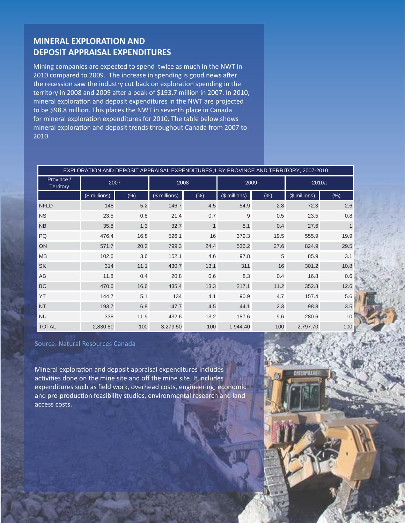## **MINERAL EXPLORATION AND DEPOSIT APPRAISAL EXPENDITURES**

Mining companies are expected to spend twice as much in the NWT in 2010 compared to 2009. The increase in spending is good news after the recession saw the industry cut back on exploration spending in the territory in 2008 and 2009 after a peak of \$193.7 million in 2007. In 2010, mineral exploration and deposit expenditures in the NWT are projected to be \$98.8 million. This places the NWT in seventh place in Canada for mineral exploration expenditures for 2010. The table below shows mineral exploration and deposit trends throughout Canada from 2007 to 2010.

| EXPLORATION AND DEPOSIT APPRAISAL EXPENDITURES,1 BY PROVINCE AND TERRITORY, 2007-2010 |               |        |               |              |               |      |               |        |
|---------------------------------------------------------------------------------------|---------------|--------|---------------|--------------|---------------|------|---------------|--------|
| Province /<br><b>Territory</b>                                                        | 2007          |        | 2008          |              | 2009          |      | 2010a         |        |
|                                                                                       | (\$ millions) | $(\%)$ | (\$ millions) | $(\%)$       | (\$ millions) | (%)  | (\$ millions) | $(\%)$ |
| <b>NFLD</b>                                                                           | 148           | 5.2    | 146.7         | 4.5          | 54.9          | 2.8  | 72.3          | 2.6    |
| <b>NS</b>                                                                             | 23.5          | 0.8    | 21.4          | 0.7          | 9             | 0.5  | 23.5          | 0.8    |
| <b>NB</b>                                                                             | 35.8          | 1.3    | 32.7          | $\mathbf{1}$ | 8.1           | 0.4  | 27.6          |        |
| PQ                                                                                    | 476.4         | 16.8   | 526.1         | 16           | 379.3         | 19.5 | 555.9         | 19.9   |
| ON                                                                                    | 571.7         | 20.2   | 799.3         | 24.4         | 536.2         | 27.6 | 824.9         | 29.5   |
| <b>MB</b>                                                                             | 102.6         | 3.6    | 152.1         | 4.6          | 97.8          | 5    | 85.9          | 3.1    |
| <b>SK</b>                                                                             | 314           | 11.1   | 430.7         | 13.1         | 311           | 16   | 301.2         | 10.8   |
| AB                                                                                    | 11.8          | 0.4    | 20.8          | 0.6          | 8.3           | 0.4  | 16.8          | 0.6    |
| <b>BC</b>                                                                             | 470.6         | 16.6   | 435.4         | 13.3         | 217.1         | 11.2 | 352.8         | 12.6   |
| YT                                                                                    | 144.7         | 5.1    | 134           | 4.1          | 90.9          | 4.7  | 157.4         | 5.6    |
| <b>NT</b>                                                                             | 193.7         | 6.8    | 147.7         | 4.5          | 44.1          | 2.3  | 98.8          | 3.5    |
| <b>NU</b>                                                                             | 338           | 11.9   | 432.6         | 13.2         | 187.6         | 9.6  | 280.6         | 10     |
| <b>TOTAL</b>                                                                          | 2,830.80      | 100    | 3,279.50      | 100          | 1,944.40      | 100  | 2,797.70      | 100    |

#### Source: Natural Resources Canada

Mineral exploration and deposit appraisal expenditures includes activities done on the mine site and off the mine site. It includes expenditures such as field work, overhead costs, engineering, economic and pre-production feasibility studies, environmental research and land access costs.